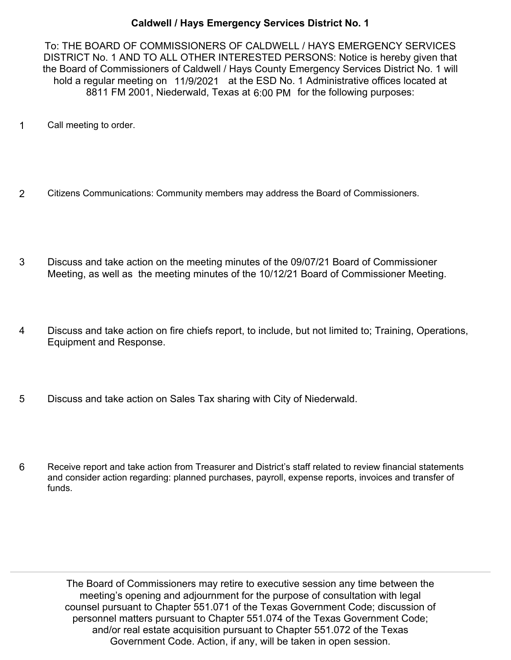## **Caldwell / Hays Emergency Services District No. 1**

To: THE BOARD OF COMMISSIONERS OF CALDWELL / HAYS EMERGENCY SERVICES DISTRICT No. 1 AND TO ALL OTHER INTERESTED PERSONS: Notice is hereby given that the Board of Commissioners of Caldwell / Hays County Emergency Services District No. 1 will hold a regular meeting on 11/9/2021 at the ESD No. 1 Administrative offices located at 8811 FM 2001, Niederwald, Texas at 6:00 PM for the following purposes:

- 1 Call meeting to order.
- 2 Citizens Communications: Community members may address the Board of Commissioners.
- Discuss and take action on the meeting minutes of the 09/07/21 Board of Commissioner Meeting, as well as the meeting minutes of the 10/12/21 Board of Commissioner Meeting. 3
- Discuss and take action on fire chiefs report, to include, but not limited to; Training, Operations, Equipment and Response. 4
- 5 Discuss and take action on Sales Tax sharing with City of Niederwald.
- Receive report and take action from Treasurer and District's staff related to review financial statements and consider action regarding: planned purchases, payroll, expense reports, invoices and transfer of funds. 6

The Board of Commissioners may retire to executive session any time between the meeting's opening and adjournment for the purpose of consultation with legal counsel pursuant to Chapter 551.071 of the Texas Government Code; discussion of personnel matters pursuant to Chapter 551.074 of the Texas Government Code; and/or real estate acquisition pursuant to Chapter 551.072 of the Texas Government Code. Action, if any, will be taken in open session.